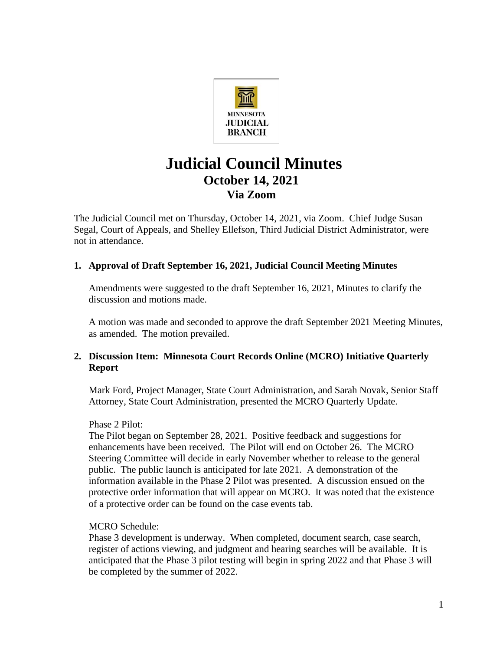

# **Judicial Council Minutes October 14, 2021 Via Zoom**

The Judicial Council met on Thursday, October 14, 2021, via Zoom. Chief Judge Susan Segal, Court of Appeals, and Shelley Ellefson, Third Judicial District Administrator, were not in attendance.

## **1. Approval of Draft September 16, 2021, Judicial Council Meeting Minutes**

Amendments were suggested to the draft September 16, 2021, Minutes to clarify the discussion and motions made.

A motion was made and seconded to approve the draft September 2021 Meeting Minutes, as amended. The motion prevailed.

## **2. Discussion Item: Minnesota Court Records Online (MCRO) Initiative Quarterly Report**

Mark Ford, Project Manager, State Court Administration, and Sarah Novak, Senior Staff Attorney, State Court Administration, presented the MCRO Quarterly Update.

#### Phase 2 Pilot:

The Pilot began on September 28, 2021. Positive feedback and suggestions for enhancements have been received. The Pilot will end on October 26. The MCRO Steering Committee will decide in early November whether to release to the general public. The public launch is anticipated for late 2021. A demonstration of the information available in the Phase 2 Pilot was presented. A discussion ensued on the protective order information that will appear on MCRO. It was noted that the existence of a protective order can be found on the case events tab.

## MCRO Schedule:

Phase 3 development is underway. When completed, document search, case search, register of actions viewing, and judgment and hearing searches will be available. It is anticipated that the Phase 3 pilot testing will begin in spring 2022 and that Phase 3 will be completed by the summer of 2022.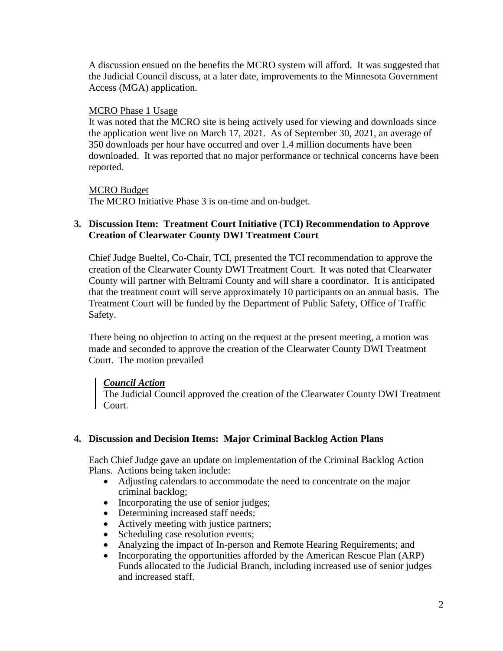A discussion ensued on the benefits the MCRO system will afford. It was suggested that the Judicial Council discuss, at a later date, improvements to the Minnesota Government Access (MGA) application.

#### MCRO Phase 1 Usage

It was noted that the MCRO site is being actively used for viewing and downloads since the application went live on March 17, 2021. As of September 30, 2021, an average of 350 downloads per hour have occurred and over 1.4 million documents have been downloaded. It was reported that no major performance or technical concerns have been reported.

## MCRO Budget

The MCRO Initiative Phase 3 is on-time and on-budget.

## **3. Discussion Item: Treatment Court Initiative (TCI) Recommendation to Approve Creation of Clearwater County DWI Treatment Court**

Chief Judge Bueltel, Co-Chair, TCI, presented the TCI recommendation to approve the creation of the Clearwater County DWI Treatment Court. It was noted that Clearwater County will partner with Beltrami County and will share a coordinator. It is anticipated that the treatment court will serve approximately 10 participants on an annual basis. The Treatment Court will be funded by the Department of Public Safety, Office of Traffic Safety.

There being no objection to acting on the request at the present meeting, a motion was made and seconded to approve the creation of the Clearwater County DWI Treatment Court. The motion prevailed

## *Council Action*

The Judicial Council approved the creation of the Clearwater County DWI Treatment Court.

## **4. Discussion and Decision Items: Major Criminal Backlog Action Plans**

Each Chief Judge gave an update on implementation of the Criminal Backlog Action Plans. Actions being taken include:

- Adjusting calendars to accommodate the need to concentrate on the major criminal backlog;
- Incorporating the use of senior judges;
- Determining increased staff needs;
- Actively meeting with justice partners;
- Scheduling case resolution events;
- Analyzing the impact of In-person and Remote Hearing Requirements; and
- Incorporating the opportunities afforded by the American Rescue Plan (ARP) Funds allocated to the Judicial Branch, including increased use of senior judges and increased staff.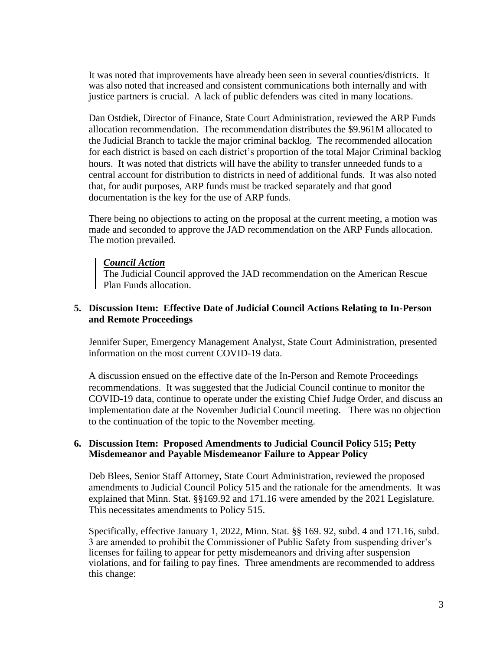It was noted that improvements have already been seen in several counties/districts. It was also noted that increased and consistent communications both internally and with justice partners is crucial. A lack of public defenders was cited in many locations.

Dan Ostdiek, Director of Finance, State Court Administration, reviewed the ARP Funds allocation recommendation. The recommendation distributes the \$9.961M allocated to the Judicial Branch to tackle the major criminal backlog. The recommended allocation for each district is based on each district's proportion of the total Major Criminal backlog hours. It was noted that districts will have the ability to transfer unneeded funds to a central account for distribution to districts in need of additional funds. It was also noted that, for audit purposes, ARP funds must be tracked separately and that good documentation is the key for the use of ARP funds.

There being no objections to acting on the proposal at the current meeting, a motion was made and seconded to approve the JAD recommendation on the ARP Funds allocation. The motion prevailed.

#### *Council Action*

The Judicial Council approved the JAD recommendation on the American Rescue Plan Funds allocation.

#### **5. Discussion Item: Effective Date of Judicial Council Actions Relating to In-Person and Remote Proceedings**

Jennifer Super, Emergency Management Analyst, State Court Administration, presented information on the most current COVID-19 data.

A discussion ensued on the effective date of the In-Person and Remote Proceedings recommendations. It was suggested that the Judicial Council continue to monitor the COVID-19 data, continue to operate under the existing Chief Judge Order, and discuss an implementation date at the November Judicial Council meeting. There was no objection to the continuation of the topic to the November meeting.

#### **6. Discussion Item: Proposed Amendments to Judicial Council Policy 515; Petty Misdemeanor and Payable Misdemeanor Failure to Appear Policy**

Deb Blees, Senior Staff Attorney, State Court Administration, reviewed the proposed amendments to Judicial Council Policy 515 and the rationale for the amendments. It was explained that Minn. Stat. §§169.92 and 171.16 were amended by the 2021 Legislature. This necessitates amendments to Policy 515.

Specifically, effective January 1, 2022, Minn. Stat. §§ 169. 92, subd. 4 and 171.16, subd. 3 are amended to prohibit the Commissioner of Public Safety from suspending driver's licenses for failing to appear for petty misdemeanors and driving after suspension violations, and for failing to pay fines. Three amendments are recommended to address this change: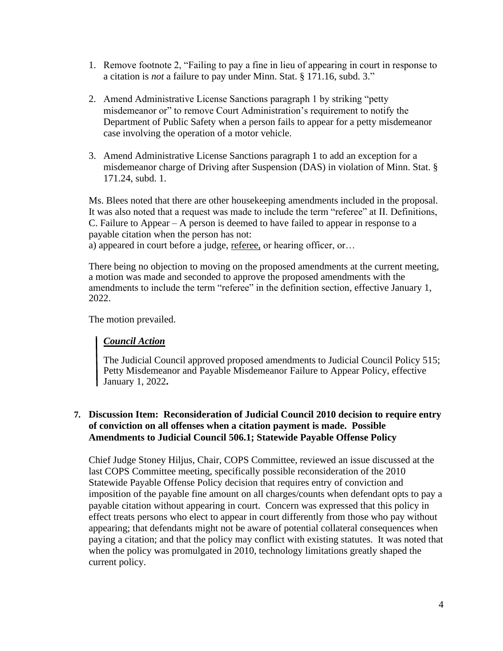- 1. Remove footnote 2, "Failing to pay a fine in lieu of appearing in court in response to a citation is *not* a failure to pay under Minn. Stat. § 171.16, subd. 3."
- 2. Amend Administrative License Sanctions paragraph 1 by striking "petty misdemeanor or" to remove Court Administration's requirement to notify the Department of Public Safety when a person fails to appear for a petty misdemeanor case involving the operation of a motor vehicle.
- 3. Amend Administrative License Sanctions paragraph 1 to add an exception for a misdemeanor charge of Driving after Suspension (DAS) in violation of Minn. Stat. § 171.24, subd. 1.

Ms. Blees noted that there are other housekeeping amendments included in the proposal. It was also noted that a request was made to include the term "referee" at II. Definitions, C. Failure to Appear – A person is deemed to have failed to appear in response to a payable citation when the person has not:

a) appeared in court before a judge, referee, or hearing officer, or...

There being no objection to moving on the proposed amendments at the current meeting, a motion was made and seconded to approve the proposed amendments with the amendments to include the term "referee" in the definition section, effective January 1, 2022.

The motion prevailed.

## *Council Action*

The Judicial Council approved proposed amendments to Judicial Council Policy 515; Petty Misdemeanor and Payable Misdemeanor Failure to Appear Policy, effective January 1, 2022**.** 

## **7. Discussion Item: Reconsideration of Judicial Council 2010 decision to require entry of conviction on all offenses when a citation payment is made. Possible Amendments to Judicial Council 506.1; Statewide Payable Offense Policy**

Chief Judge Stoney Hiljus, Chair, COPS Committee, reviewed an issue discussed at the last COPS Committee meeting, specifically possible reconsideration of the 2010 Statewide Payable Offense Policy decision that requires entry of conviction and imposition of the payable fine amount on all charges/counts when defendant opts to pay a payable citation without appearing in court. Concern was expressed that this policy in effect treats persons who elect to appear in court differently from those who pay without appearing; that defendants might not be aware of potential collateral consequences when paying a citation; and that the policy may conflict with existing statutes. It was noted that when the policy was promulgated in 2010, technology limitations greatly shaped the current policy.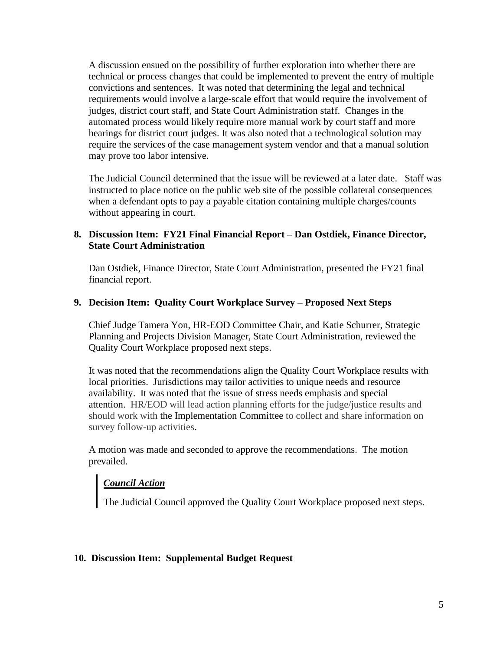A discussion ensued on the possibility of further exploration into whether there are technical or process changes that could be implemented to prevent the entry of multiple convictions and sentences. It was noted that determining the legal and technical requirements would involve a large-scale effort that would require the involvement of judges, district court staff, and State Court Administration staff. Changes in the automated process would likely require more manual work by court staff and more hearings for district court judges. It was also noted that a technological solution may require the services of the case management system vendor and that a manual solution may prove too labor intensive.

The Judicial Council determined that the issue will be reviewed at a later date. Staff was instructed to place notice on the public web site of the possible collateral consequences when a defendant opts to pay a payable citation containing multiple charges/counts without appearing in court.

## **8. Discussion Item: FY21 Final Financial Report – Dan Ostdiek, Finance Director, State Court Administration**

Dan Ostdiek, Finance Director, State Court Administration, presented the FY21 final financial report.

## **9. Decision Item: Quality Court Workplace Survey – Proposed Next Steps**

Chief Judge Tamera Yon, HR-EOD Committee Chair, and Katie Schurrer, Strategic Planning and Projects Division Manager, State Court Administration, reviewed the Quality Court Workplace proposed next steps.

It was noted that the recommendations align the Quality Court Workplace results with local priorities. Jurisdictions may tailor activities to unique needs and resource availability. It was noted that the issue of stress needs emphasis and special attention. HR/EOD will lead action planning efforts for the judge/justice results and should work with the Implementation Committee to collect and share information on survey follow-up activities.

A motion was made and seconded to approve the recommendations. The motion prevailed.

# *Council Action*

The Judicial Council approved the Quality Court Workplace proposed next steps.

## **10. Discussion Item: Supplemental Budget Request**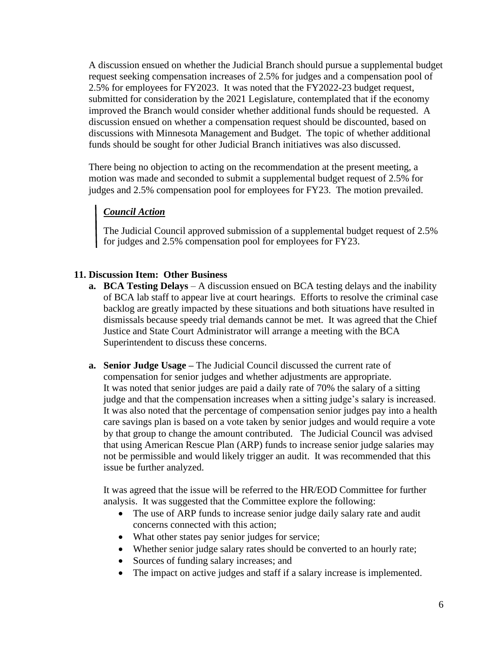A discussion ensued on whether the Judicial Branch should pursue a supplemental budget request seeking compensation increases of 2.5% for judges and a compensation pool of 2.5% for employees for FY2023. It was noted that the FY2022-23 budget request, submitted for consideration by the 2021 Legislature, contemplated that if the economy improved the Branch would consider whether additional funds should be requested. A discussion ensued on whether a compensation request should be discounted, based on discussions with Minnesota Management and Budget. The topic of whether additional funds should be sought for other Judicial Branch initiatives was also discussed.

There being no objection to acting on the recommendation at the present meeting, a motion was made and seconded to submit a supplemental budget request of 2.5% for judges and 2.5% compensation pool for employees for FY23. The motion prevailed.

# *Council Action*

The Judicial Council approved submission of a supplemental budget request of 2.5% for judges and 2.5% compensation pool for employees for FY23.

## **11. Discussion Item: Other Business**

- **a. BCA Testing Delays** A discussion ensued on BCA testing delays and the inability of BCA lab staff to appear live at court hearings. Efforts to resolve the criminal case backlog are greatly impacted by these situations and both situations have resulted in dismissals because speedy trial demands cannot be met. It was agreed that the Chief Justice and State Court Administrator will arrange a meeting with the BCA Superintendent to discuss these concerns.
- **a. Senior Judge Usage –** The Judicial Council discussed the current rate of compensation for senior judges and whether adjustments are appropriate. It was noted that senior judges are paid a daily rate of 70% the salary of a sitting judge and that the compensation increases when a sitting judge's salary is increased. It was also noted that the percentage of compensation senior judges pay into a health care savings plan is based on a vote taken by senior judges and would require a vote by that group to change the amount contributed. The Judicial Council was advised that using American Rescue Plan (ARP) funds to increase senior judge salaries may not be permissible and would likely trigger an audit. It was recommended that this issue be further analyzed.

It was agreed that the issue will be referred to the HR/EOD Committee for further analysis. It was suggested that the Committee explore the following:

- The use of ARP funds to increase senior judge daily salary rate and audit concerns connected with this action;
- What other states pay senior judges for service;
- Whether senior judge salary rates should be converted to an hourly rate;
- Sources of funding salary increases; and
- The impact on active judges and staff if a salary increase is implemented.